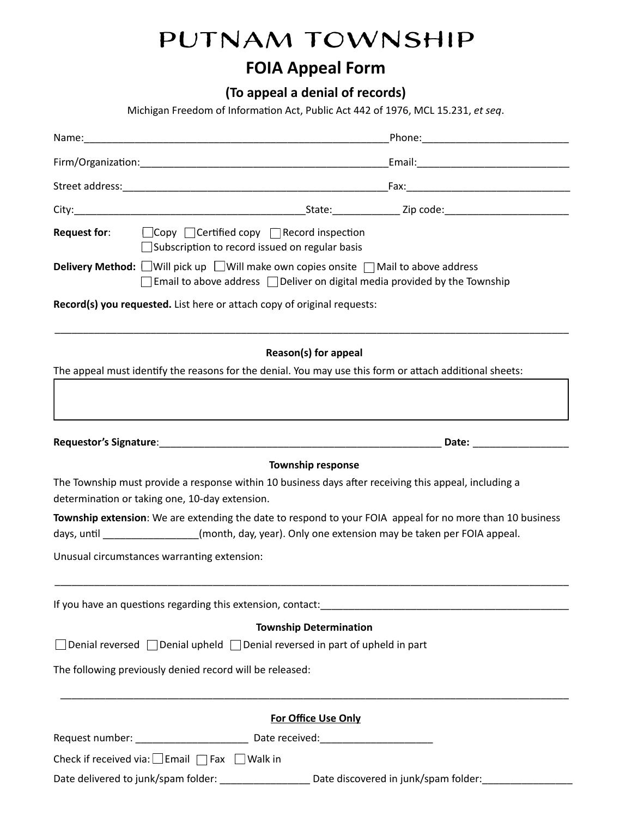## Putnam Township

## **FOIA Appeal Form**

 **(To appeal a denial of records)** 

Michigan Freedom of Information Act, Public Act 442 of 1976, MCL 15.231, et seq.

| <b>Request for:</b> $\Box$ Copy $\Box$ Certified copy $\Box$ Record inspection<br>Subscription to record issued on regular basis                                                                                               |
|--------------------------------------------------------------------------------------------------------------------------------------------------------------------------------------------------------------------------------|
| <b>Delivery Method:</b> Will pick up Will make own copies onsite nMail to above address<br>$\Box$ Email to above address $\Box$ Deliver on digital media provided by the Township                                              |
| Record(s) you requested. List here or attach copy of original requests:                                                                                                                                                        |
| Reason(s) for appeal                                                                                                                                                                                                           |
| The appeal must identify the reasons for the denial. You may use this form or attach additional sheets:                                                                                                                        |
|                                                                                                                                                                                                                                |
|                                                                                                                                                                                                                                |
| <b>Township response</b>                                                                                                                                                                                                       |
| The Township must provide a response within 10 business days after receiving this appeal, including a<br>determination or taking one, 10-day extension.                                                                        |
| Township extension: We are extending the date to respond to your FOIA appeal for no more than 10 business                                                                                                                      |
| days, until ________________(month, day, year). Only one extension may be taken per FOIA appeal.                                                                                                                               |
| Unusual circumstances warranting extension:                                                                                                                                                                                    |
| If you have an questions regarding this extension, contact: example and all the set of the set of the set of the set of the set of the set of the set of the set of the set of the set of the set of the set of the set of the |
| <b>Township Determination</b>                                                                                                                                                                                                  |
| $\Box$ Denial reversed $\Box$ Denial upheld $\Box$ Denial reversed in part of upheld in part                                                                                                                                   |
| The following previously denied record will be released:                                                                                                                                                                       |
| For Office Use Only                                                                                                                                                                                                            |
| Request number: __________________________________ Date received:__________________________________                                                                                                                            |
| Check if received via: $\Box$ Email $\Box$ Fax $\Box$ Walk in                                                                                                                                                                  |
| Date delivered to junk/spam folder: _______________________Date discovered in junk/spam folder: ___                                                                                                                            |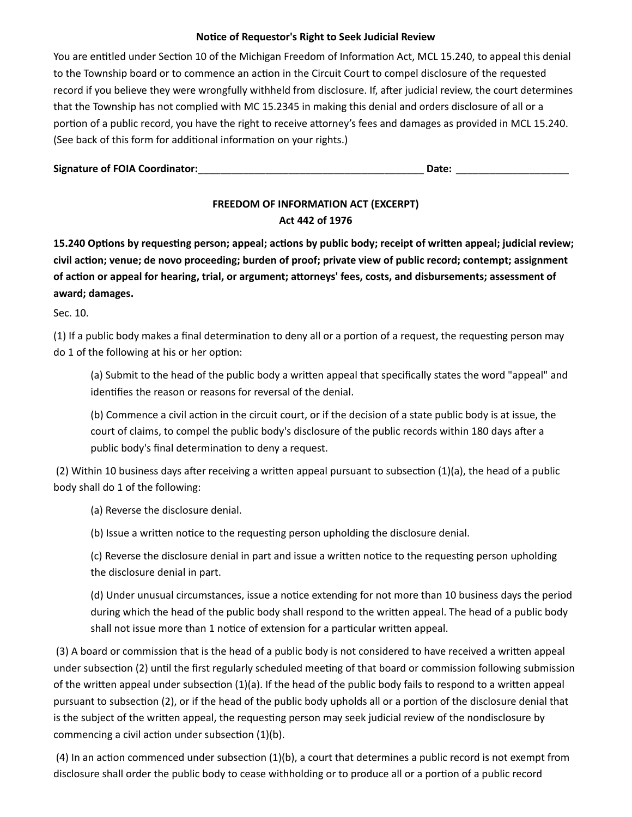## **Notice of Requestor's Right to Seek Judicial Review**

You are entitled under Section 10 of the Michigan Freedom of Information Act, MCL 15.240, to appeal this denial to the Township board or to commence an action in the Circuit Court to compel disclosure of the requested record if you believe they were wrongfully withheld from disclosure. If, after judicial review, the court determines that the Township has not complied with MC 15.2345 in making this denial and orders disclosure of all or a portion of a public record, you have the right to receive attorney's fees and damages as provided in MCL 15.240. (See back of this form for additional information on your rights.)

| <b>Signature of FOIA Coordinator:</b> |  |  |
|---------------------------------------|--|--|
|---------------------------------------|--|--|

## **FREEDOM OF INFORMATION ACT (EXCERPT) Act 442 of 1976**

**15.240 Options by requesting person; appeal; actions by public body; receipt of written appeal; judicial review;** civil action; venue; de novo proceeding; burden of proof; private view of public record; contempt; assignment of action or appeal for hearing, trial, or argument; attorneys' fees, costs, and disbursements; assessment of  **award; damages.** 

Sec. 10.

(1) If a public body makes a final determination to deny all or a portion of a request, the requesting person may do 1 of the following at his or her option:

(a) Submit to the head of the public body a written appeal that specifically states the word "appeal" and identifies the reason or reasons for reversal of the denial.

(b) Commence a civil action in the circuit court, or if the decision of a state public body is at issue, the court of claims, to compel the public body's disclosure of the public records within 180 days after a public body's final determination to deny a request.

(2) Within 10 business days after receiving a written appeal pursuant to subsection  $(1)(a)$ , the head of a public body shall do 1 of the following:

(a) Reverse the disclosure denial.

(b) Issue a written notice to the requesting person upholding the disclosure denial.

(c) Reverse the disclosure denial in part and issue a written notice to the requesting person upholding the disclosure denial in part.

(d) Under unusual circumstances, issue a notice extending for not more than 10 business days the period during which the head of the public body shall respond to the written appeal. The head of a public body shall not issue more than 1 notice of extension for a particular written appeal.

(3) A board or commission that is the head of a public body is not considered to have received a written appeal under subsection (2) until the first regularly scheduled meeting of that board or commission following submission of the written appeal under subsection  $(1)(a)$ . If the head of the public body fails to respond to a written appeal pursuant to subsection (2), or if the head of the public body upholds all or a portion of the disclosure denial that is the subject of the written appeal, the requesting person may seek judicial review of the nondisclosure by commencing a civil action under subsection  $(1)(b)$ .

(4) In an action commenced under subsection  $(1)(b)$ , a court that determines a public record is not exempt from disclosure shall order the public body to cease withholding or to produce all or a portion of a public record